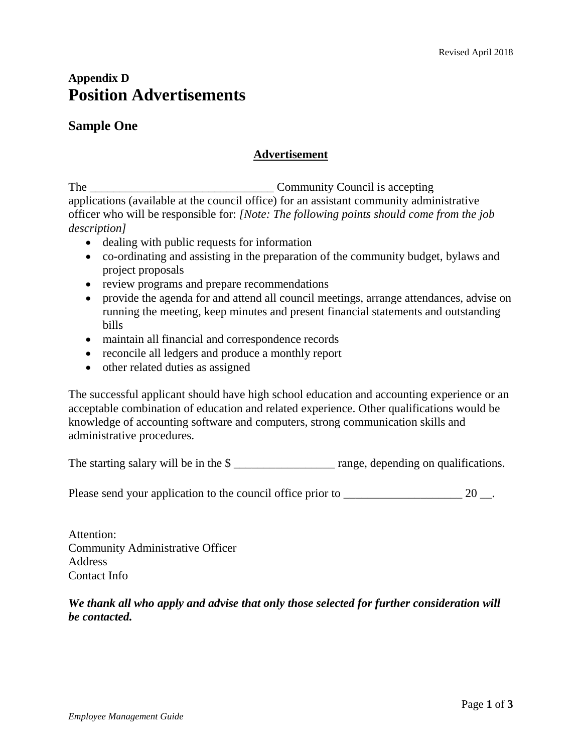# **Appendix D Position Advertisements**

# **Sample One**

#### **Advertisement**

The Community Council is accepting applications (available at the council office) for an assistant community administrative officer who will be responsible for: *[Note: The following points should come from the job description]*

- dealing with public requests for information
- co-ordinating and assisting in the preparation of the community budget, bylaws and project proposals
- review programs and prepare recommendations
- provide the agenda for and attend all council meetings, arrange attendances, advise on running the meeting, keep minutes and present financial statements and outstanding bills
- maintain all financial and correspondence records
- reconcile all ledgers and produce a monthly report
- other related duties as assigned

The successful applicant should have high school education and accounting experience or an acceptable combination of education and related experience. Other qualifications would be knowledge of accounting software and computers, strong communication skills and administrative procedures.

The starting salary will be in the \$

Please send your application to the council office prior to \_\_\_\_\_\_\_\_\_\_\_\_\_\_\_\_\_\_\_\_\_\_\_\_ 20 \_\_.

Attention: Community Administrative Officer Address Contact Info

*We thank all who apply and advise that only those selected for further consideration will be contacted.*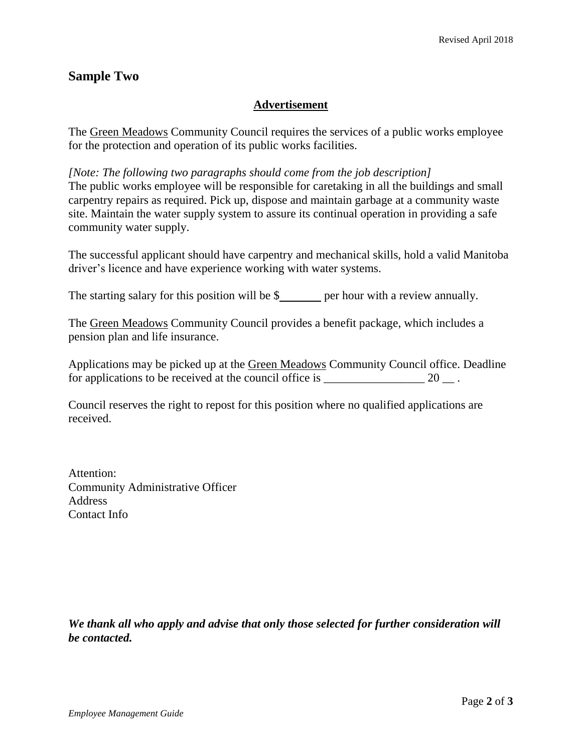# **Sample Two**

## **Advertisement**

The Green Meadows Community Council requires the services of a public works employee for the protection and operation of its public works facilities.

*[Note: The following two paragraphs should come from the job description]* The public works employee will be responsible for caretaking in all the buildings and small carpentry repairs as required. Pick up, dispose and maintain garbage at a community waste site. Maintain the water supply system to assure its continual operation in providing a safe community water supply.

The successful applicant should have carpentry and mechanical skills, hold a valid Manitoba driver's licence and have experience working with water systems.

The starting salary for this position will be  $\frac{1}{2}$  per hour with a review annually.

The Green Meadows Community Council provides a benefit package, which includes a pension plan and life insurance.

Applications may be picked up at the Green Meadows Community Council office. Deadline for applications to be received at the council office is  $20 \quad .$ 

Council reserves the right to repost for this position where no qualified applications are received.

Attention: Community Administrative Officer Address Contact Info

*We thank all who apply and advise that only those selected for further consideration will be contacted.*